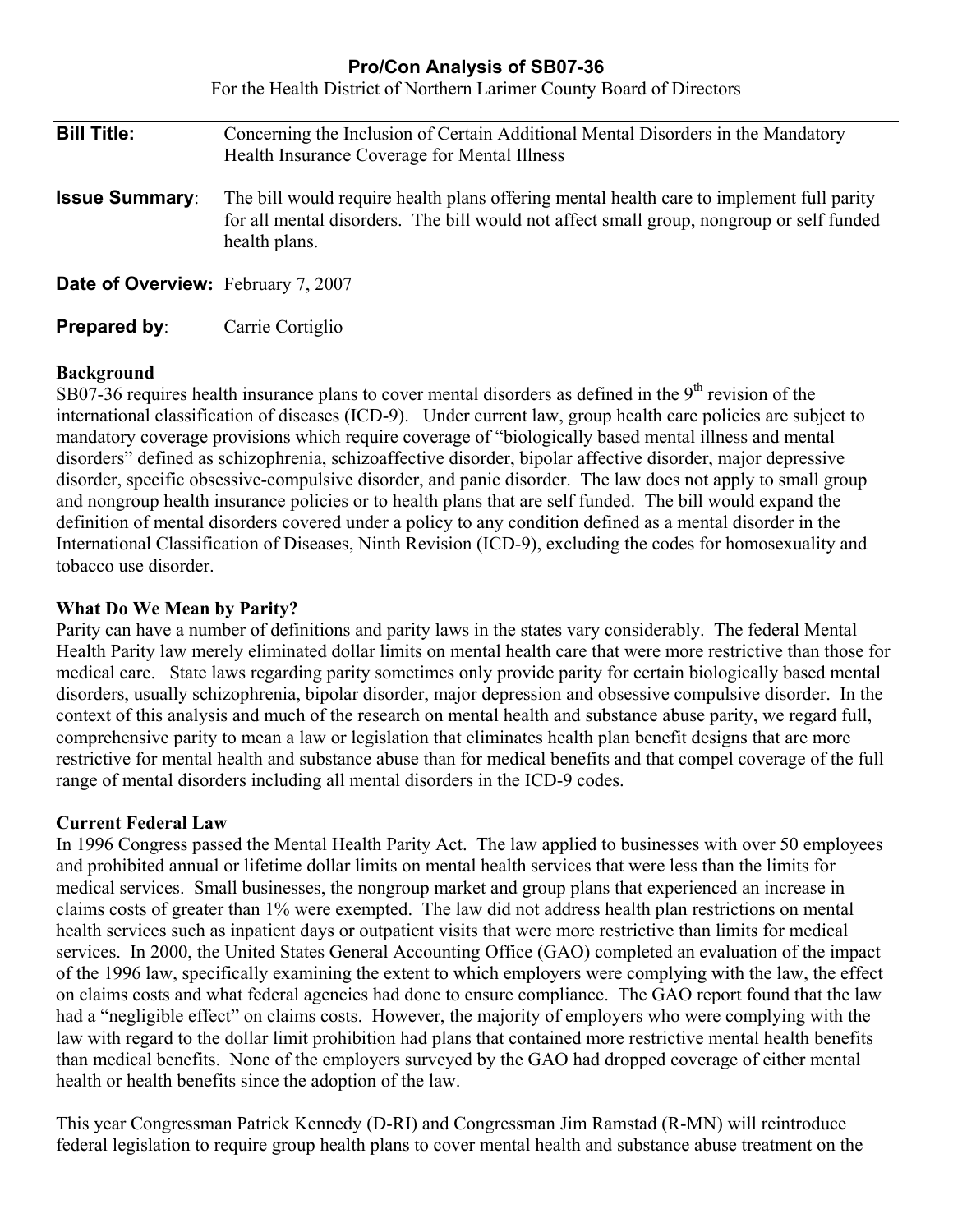### **Pro/Con Analysis of SB07-36**

| For the Health District of Northern Larimer County Board of Directors |  |  |  |
|-----------------------------------------------------------------------|--|--|--|
|                                                                       |  |  |  |

| <b>Bill Title:</b>                        | Concerning the Inclusion of Certain Additional Mental Disorders in the Mandatory<br>Health Insurance Coverage for Mental Illness                                                                      |  |  |
|-------------------------------------------|-------------------------------------------------------------------------------------------------------------------------------------------------------------------------------------------------------|--|--|
| <b>Issue Summary:</b>                     | The bill would require health plans offering mental health care to implement full parity<br>for all mental disorders. The bill would not affect small group, nongroup or self funded<br>health plans. |  |  |
| <b>Date of Overview:</b> February 7, 2007 |                                                                                                                                                                                                       |  |  |
| <b>Prepared by:</b>                       | Carrie Cortiglio                                                                                                                                                                                      |  |  |

#### **Background**

SB07-36 requires health insurance plans to cover mental disorders as defined in the  $9<sup>th</sup>$  revision of the international classification of diseases (ICD-9). Under current law, group health care policies are subject to mandatory coverage provisions which require coverage of "biologically based mental illness and mental disorders" defined as schizophrenia, schizoaffective disorder, bipolar affective disorder, major depressive disorder, specific obsessive-compulsive disorder, and panic disorder. The law does not apply to small group and nongroup health insurance policies or to health plans that are self funded. The bill would expand the definition of mental disorders covered under a policy to any condition defined as a mental disorder in the International Classification of Diseases, Ninth Revision (ICD-9), excluding the codes for homosexuality and tobacco use disorder.

#### **What Do We Mean by Parity?**

Parity can have a number of definitions and parity laws in the states vary considerably. The federal Mental Health Parity law merely eliminated dollar limits on mental health care that were more restrictive than those for medical care. State laws regarding parity sometimes only provide parity for certain biologically based mental disorders, usually schizophrenia, bipolar disorder, major depression and obsessive compulsive disorder. In the context of this analysis and much of the research on mental health and substance abuse parity, we regard full, comprehensive parity to mean a law or legislation that eliminates health plan benefit designs that are more restrictive for mental health and substance abuse than for medical benefits and that compel coverage of the full range of mental disorders including all mental disorders in the ICD-9 codes.

#### **Current Federal Law**

In 1996 Congress passed the Mental Health Parity Act. The law applied to businesses with over 50 employees and prohibited annual or lifetime dollar limits on mental health services that were less than the limits for medical services. Small businesses, the nongroup market and group plans that experienced an increase in claims costs of greater than 1% were exempted. The law did not address health plan restrictions on mental health services such as inpatient days or outpatient visits that were more restrictive than limits for medical services. In 2000, the United States General Accounting Office (GAO) completed an evaluation of the impact of the 1996 law, specifically examining the extent to which employers were complying with the law, the effect on claims costs and what federal agencies had done to ensure compliance. The GAO report found that the law had a "negligible effect" on claims costs. However, the majority of employers who were complying with the law with regard to the dollar limit prohibition had plans that contained more restrictive mental health benefits than medical benefits. None of the employers surveyed by the GAO had dropped coverage of either mental health or health benefits since the adoption of the law.

This year Congressman Patrick Kennedy (D-RI) and Congressman Jim Ramstad (R-MN) will reintroduce federal legislation to require group health plans to cover mental health and substance abuse treatment on the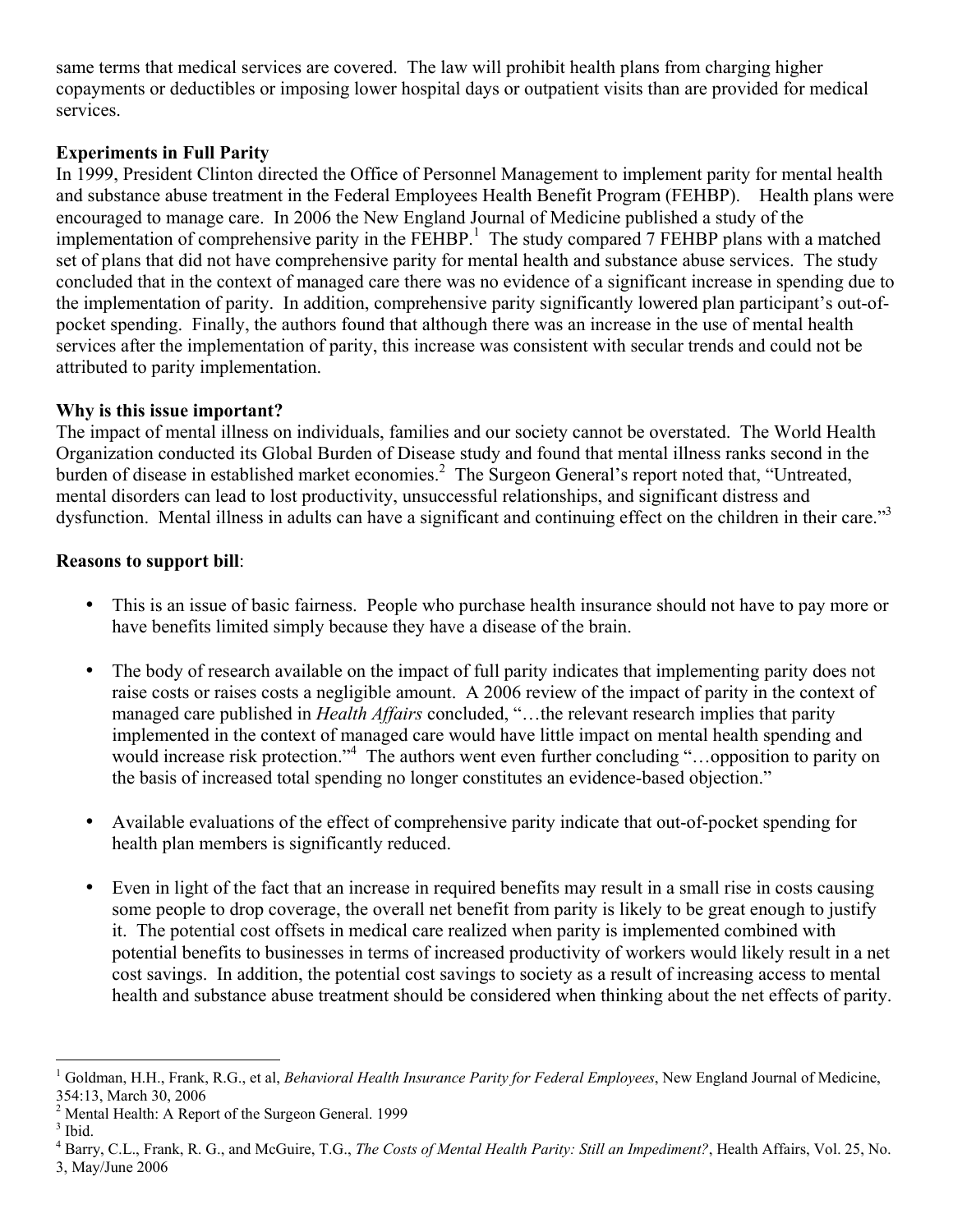same terms that medical services are covered. The law will prohibit health plans from charging higher copayments or deductibles or imposing lower hospital days or outpatient visits than are provided for medical services.

## **Experiments in Full Parity**

In 1999, President Clinton directed the Office of Personnel Management to implement parity for mental health and substance abuse treatment in the Federal Employees Health Benefit Program (FEHBP). Health plans were encouraged to manage care. In 2006 the New England Journal of Medicine published a study of the implementation of comprehensive parity in the FEHBP.<sup>1</sup> The study compared 7 FEHBP plans with a matched set of plans that did not have comprehensive parity for mental health and substance abuse services. The study concluded that in the context of managed care there was no evidence of a significant increase in spending due to the implementation of parity. In addition, comprehensive parity significantly lowered plan participant's out-ofpocket spending. Finally, the authors found that although there was an increase in the use of mental health services after the implementation of parity, this increase was consistent with secular trends and could not be attributed to parity implementation.

### **Why is this issue important?**

The impact of mental illness on individuals, families and our society cannot be overstated. The World Health Organization conducted its Global Burden of Disease study and found that mental illness ranks second in the burden of disease in established market economies.<sup>2</sup> The Surgeon General's report noted that, "Untreated, mental disorders can lead to lost productivity, unsuccessful relationships, and significant distress and dysfunction. Mental illness in adults can have a significant and continuing effect on the children in their care."<sup>3</sup>

## **Reasons to support bill**:

- This is an issue of basic fairness. People who purchase health insurance should not have to pay more or have benefits limited simply because they have a disease of the brain.
- The body of research available on the impact of full parity indicates that implementing parity does not raise costs or raises costs a negligible amount. A 2006 review of the impact of parity in the context of managed care published in *Health Affairs* concluded, "…the relevant research implies that parity implemented in the context of managed care would have little impact on mental health spending and would increase risk protection."<sup>4</sup> The authors went even further concluding "...opposition to parity on the basis of increased total spending no longer constitutes an evidence-based objection."
- Available evaluations of the effect of comprehensive parity indicate that out-of-pocket spending for health plan members is significantly reduced.
- Even in light of the fact that an increase in required benefits may result in a small rise in costs causing some people to drop coverage, the overall net benefit from parity is likely to be great enough to justify it. The potential cost offsets in medical care realized when parity is implemented combined with potential benefits to businesses in terms of increased productivity of workers would likely result in a net cost savings. In addition, the potential cost savings to society as a result of increasing access to mental health and substance abuse treatment should be considered when thinking about the net effects of parity.

 $\overline{a}$ <sup>1</sup> Goldman, H.H., Frank, R.G., et al, *Behavioral Health Insurance Parity for Federal Employees*, New England Journal of Medicine, 354:13, March 30, 2006

 $2^2$  Mental Health: A Report of the Surgeon General. 1999

 $3$  Ibid.

<sup>4</sup> Barry, C.L., Frank, R. G., and McGuire, T.G., *The Costs of Mental Health Parity: Still an Impediment?*, Health Affairs, Vol. 25, No. 3, May/June 2006